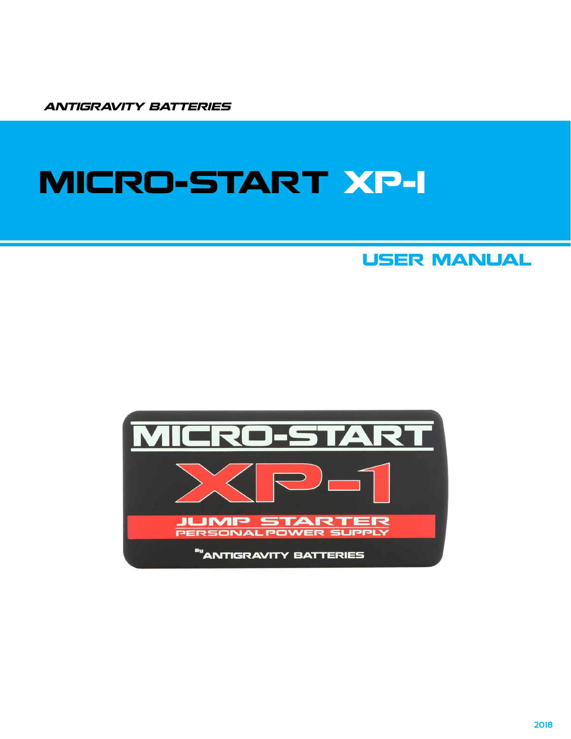ANTIGRAVITY BATTERIES

# MICRO-START XP-1

### USER MANUAL

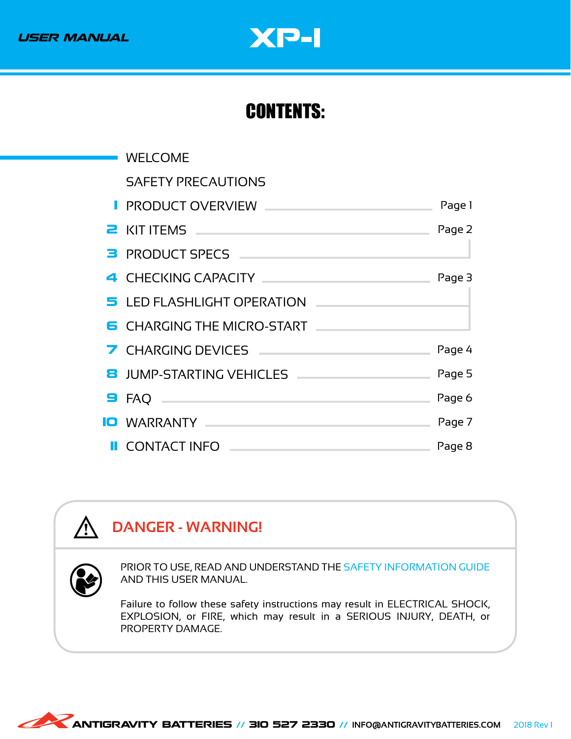## USER MANUAL **WARD-1**

### CONTENTS:

| <b>WELCOME</b>                                                                                                                                                                                                                 |        |
|--------------------------------------------------------------------------------------------------------------------------------------------------------------------------------------------------------------------------------|--------|
| <b>SAFETY PRECAUTIONS</b>                                                                                                                                                                                                      |        |
| I PRODUCT OVERVIEW AND ARREST MANUSCRIPT                                                                                                                                                                                       | Page 1 |
| <b>2</b> KIT ITEMS <b>CONSTRUCTED AND RESIDENCE</b>                                                                                                                                                                            | Page 2 |
| B PRODUCT SPECS                                                                                                                                                                                                                |        |
| 4 CHECKING CAPACITY And the contract of the contract of the contract of the contract of the contract of the contract of the contract of the contract of the contract of the contract of the contract of the contract of the co | Page 3 |
| 5 LED FLASHLIGHT OPERATION                                                                                                                                                                                                     |        |
| <b>6</b> CHARGING THE MICRO-START                                                                                                                                                                                              |        |
| 7 CHARGING DEVICES <b>And Account the CHARGING DEVICES</b>                                                                                                                                                                     | Page 4 |
| 8 JUMP-STARTING VEHICLES                                                                                                                                                                                                       | Page 5 |
| $\blacksquare$ FAQ $\blacksquare$                                                                                                                                                                                              | Page 6 |
| <b>IO</b> WARRANTY <b>And Market Market Market Market Market Market Market Market Market Market Market Market Market</b>                                                                                                       | Page 7 |
| <b>II</b> CONTACT INFO <u>Learners</u>                                                                                                                                                                                         | Page 8 |

### **DANGER - WARNING!**

**/j** 

PRIOR TO USE, READ AND UNDERSTAND THE SAFETY INFORMATION GUIDE AND THIS USER MANUAL.

Failure to follow these safety instructions may result in ELECTRICAL SHOCK, EXPLOSION, or FIRE, which may result in a SERIOUS INJURY, DEATH, or PROPERTY DAMAGE.

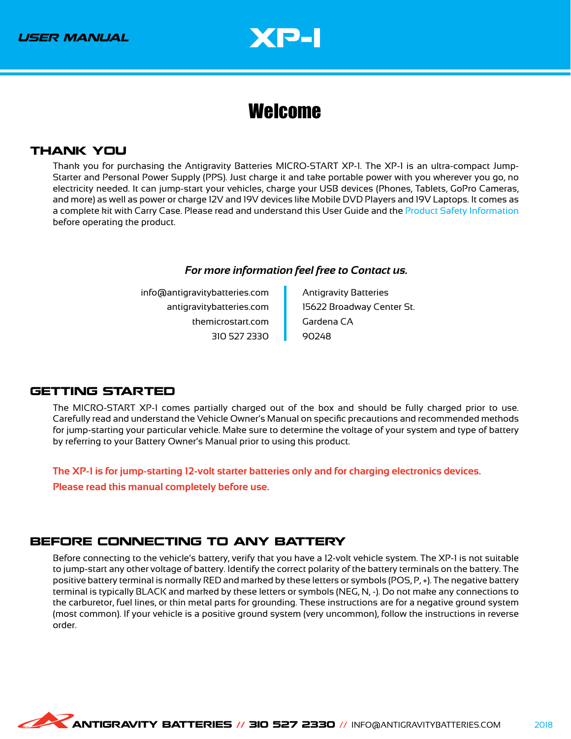

### <span id="page-2-0"></span>Welcome

#### THANK YOU

Thank you for purchasing the Antigravity Batteries MICRO-START XP-1. The XP-1 is an ultra-compact Jump-Starter and Personal Power Supply (PPS). Just charge it and take portable power with you wherever you go, no electricity needed. It can jump-start your vehicles, charge your USB devices (Phones, Tablets, GoPro Cameras, and more) as well as power or charge 12V and 19V devices like Mobile DVD Players and 19V Laptops. It comes as a complete kit with Carry Case. Please read and understand this User Guide and the Product Safety Information before operating the product.

#### *For more information feel free to Contact us.*

info@antigravitybatteries.com antigravitybatteries.com themicrostart.com 310 527 2330

Antigravity Batteries 15622 Broadway Center St. Gardena CA 90248

#### GETTING STARTED

The MICRO-START XP-1 comes partially charged out of the box and should be fully charged prior to use. Carefully read and understand the Vehicle Owner's Manual on specific precautions and recommended methods for jump-starting your particular vehicle. Make sure to determine the voltage of your system and type of battery by referring to your Battery Owner's Manual prior to using this product.

**The XP-1 is for jump-starting 12-volt starter batteries only and for charging electronics devices.**

**Please read this manual completely before use.**

#### BEFORE CONNECTING TO ANY BATTERY

Before connecting to the vehicle's battery, verify that you have a 12-volt vehicle system. The XP-1 is not suitable to jump-start any other voltage of battery. Identify the correct polarity of the battery terminals on the battery. The positive battery terminal is normally RED and marked by these letters or symbols (POS, P, +). The negative battery terminal is typically BLACK and marked by these letters or symbols (NEG, N, -). Do not make any connections to the carburetor, fuel lines, or thin metal parts for grounding. These instructions are for a negative ground system (most common). If your vehicle is a positive ground system (very uncommon), follow the instructions in reverse order.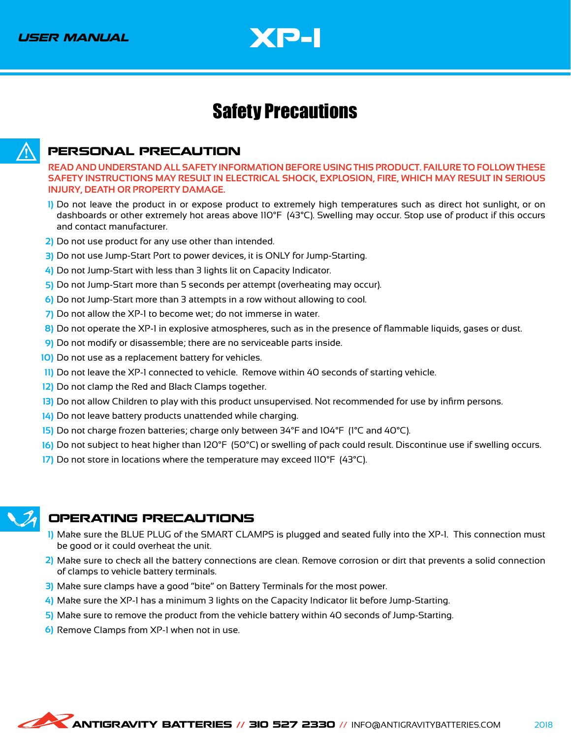

### <span id="page-3-0"></span>Safety Precautions



#### PERSONAL PRECAUTION

**READ AND UNDERSTAND ALL SAFETY INFORMATION BEFORE USING THIS PRODUCT. FAILURE TO FOLLOW THESE SAFETY INSTRUCTIONS MAY RESULT IN ELECTRICAL SHOCK, EXPLOSION, FIRE, WHICH MAY RESULT IN SERIOUS INJURY, DEATH OR PROPERTY DAMAGE.**

- Do not leave the product in or expose product to extremely high temperatures such as direct hot sunlight, or on **1)** dashboards or other extremely hot areas above 110°F (43°C). Swelling may occur. Stop use of product if this occurs and contact manufacturer.
- Do not use product for any use other than intended. **2)**
- Do not use Jump-Start Port to power devices, it is ONLY for Jump-Starting. **3)**
- Do not Jump-Start with less than 3 lights lit on Capacity Indicator. **4)**
- 5) Do not Jump-Start more than 5 seconds per attempt (overheating may occur).
- Do not Jump-Start more than 3 attempts in a row without allowing to cool. **6)**
- Do not allow the XP-1 to become wet; do not immerse in water. **7)**
- Do not operate the XP-1 in explosive atmospheres, such as in the presence of flammable liquids, gases or dust. **8)**
- Do not modify or disassemble; there are no serviceable parts inside. **9)**
- 10) Do not use as a replacement battery for vehicles.
- 11) Do not leave the XP-1 connected to vehicle. Remove within 40 seconds of starting vehicle.
- 12) Do not clamp the Red and Black Clamps together.
- 13) Do not allow Children to play with this product unsupervised. Not recommended for use by infirm persons.
- Do not leave battery products unattended while charging. **14)**
- 15) Do not charge frozen batteries; charge only between 34°F and 104°F (1°C and 40°C).
- Do not subject to heat higher than 120°F (50°C) or swelling of pack could result. Discontinue use if swelling occurs. **16)**
- 17) Do not store in locations where the temperature may exceed 110°F (43°C).



#### OPERATING PRECAUTIONS

- Make sure the BLUE PLUG of the SMART CLAMPS is plugged and seated fully into the XP-1. This connection must **1)** be good or it could overheat the unit.
- Make sure to check all the battery connections are clean. Remove corrosion or dirt that prevents a solid connection **2)** of clamps to vehicle battery terminals.
- 3) Make sure clamps have a good "bite" on Battery Terminals for the most power.
- Make sure the XP-1 has a minimum 3 lights on the Capacity Indicator lit before Jump-Starting. **4)**
- Make sure to remove the product from the vehicle battery within 40 seconds of Jump-Starting. **5)**
- Remove Clamps from XP-1 when not in use. **6)**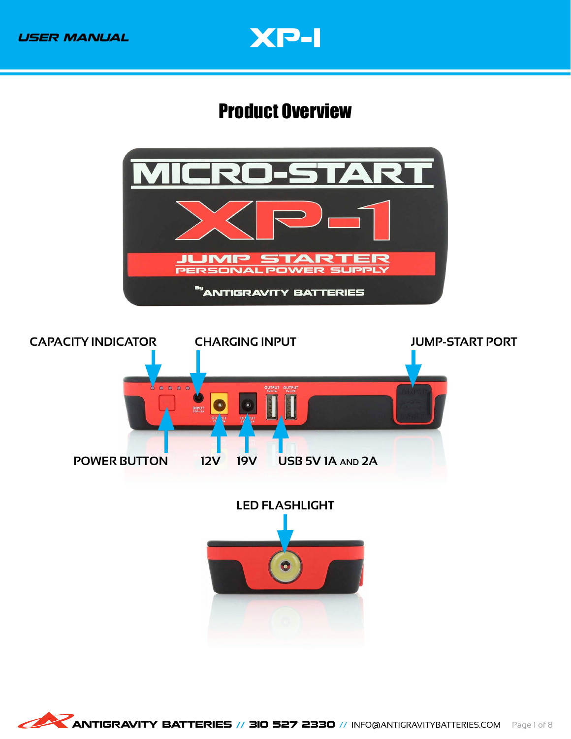

### <span id="page-4-0"></span>Product Overview

<span id="page-4-1"></span>

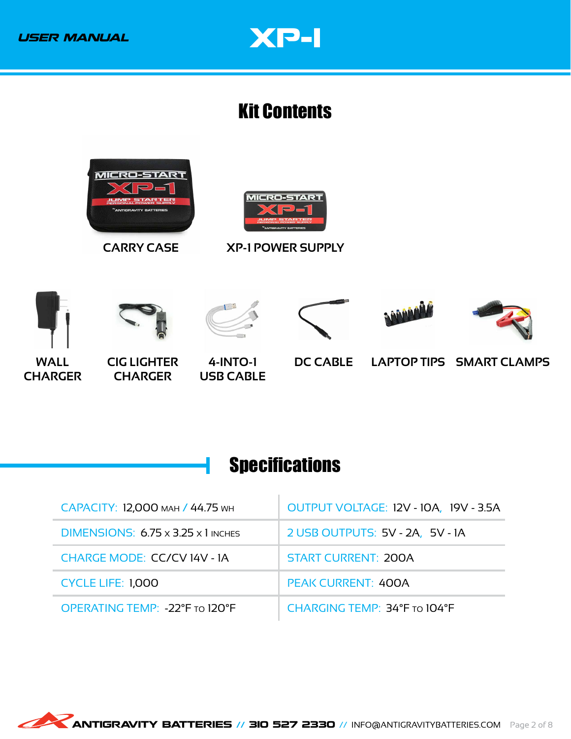

### <span id="page-5-0"></span>Kit Contents

<span id="page-5-2"></span>

### <span id="page-5-1"></span>**Specifications**

| САРАСІТУ: 12,000 млн / 44.75 мн                | OUTPUT VOLTAGE: 12V - 10A, 19V - 3.5A |  |
|------------------------------------------------|---------------------------------------|--|
| DIMENSIONS: $6.75 \times 3.25 \times 1$ inches | 2 USB OUTPUTS: 5V - 2A, 5V - 1A       |  |
| <b>CHARGE MODE: CC/CV14V - 1A</b>              | <b>START CURRENT: 200A</b>            |  |
| <b>CYCLE LIFE: 1,000</b>                       | <b>PEAK CURRENT: 400A</b>             |  |
| OPERATING TEMP: -22°F TO 120°F                 | CHARGING TEMP: 34°F TO 104°F          |  |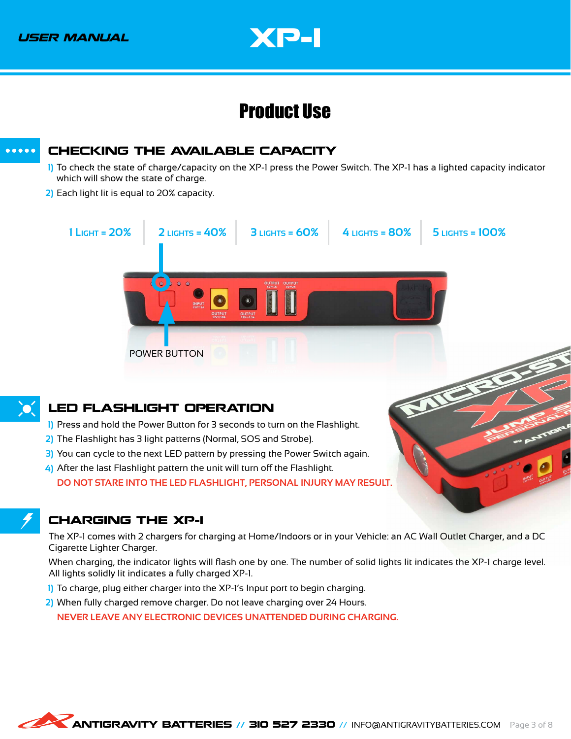

### Product Use

### <span id="page-6-3"></span>CHECKING THE AVAILABLE CAPACITY

- <span id="page-6-0"></span>To check the state of charge/capacity on the XP-1 press the Power Switch. The XP-1 has a lighted capacity indicator **1)** which will show the state of charge.
- Each light lit is equal to 20% capacity. **2)**



- <span id="page-6-1"></span>3) You can cycle to the next LED pattern by pressing the Power Switch again.
- After the last Flashlight pattern the unit will turn off the Flashlight. **4) DO NOT STARE INTO THE LED FLASHLIGHT, PERSONAL INJURY MAY RESULT.**

#### CHARGING THE XP-1

<span id="page-6-2"></span>The XP-1 comes with 2 chargers for charging at Home/Indoors or in your Vehicle: an AC Wall Outlet Charger, and a DC Cigarette Lighter Charger.

When charging, the indicator lights will flash one by one. The number of solid lights lit indicates the XP-1 charge level. All lights solidly lit indicates a fully charged XP-1.

- To charge, plug either charger into the XP-1's Input port to begin charging. **1)**
- When fully charged remove charger. Do not leave charging over 24 Hours. **2)**

**NEVER LEAVE ANY ELECTRONIC DEVICES UNATTENDED DURING CHARGING.**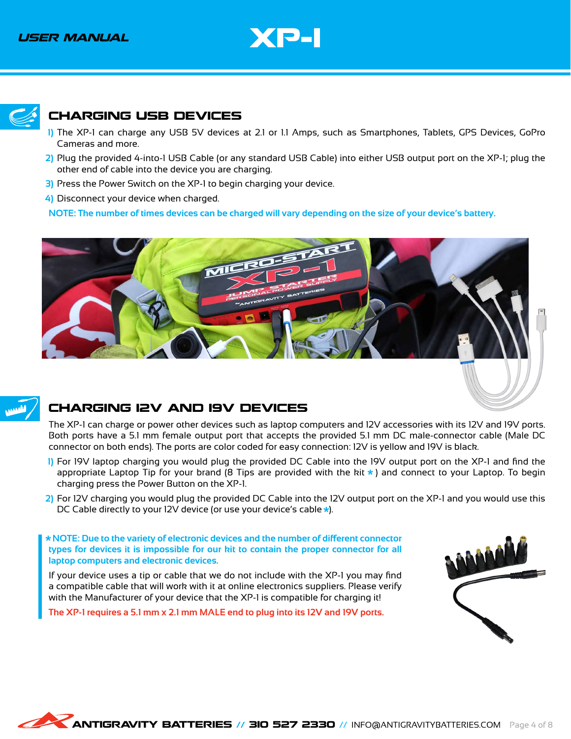

<span id="page-7-1"></span>

#### <span id="page-7-0"></span>CHARGING USB DEVICES

- The XP-1 can charge any USB 5V devices at 2.1 or 1.1 Amps, such as Smartphones, Tablets, GPS Devices, GoPro **1)** Cameras and more.
- Plug the provided 4-into-1 USB Cable (or any standard USB Cable) into either USB output port on the XP-1; plug the **2)** other end of cable into the device you are charging.
- 3) Press the Power Switch on the XP-1 to begin charging your device.
- Disconnect your device when charged. **4)**

**NOTE: The number of times devices can be charged will vary depending on the size of your device's battery.**





#### CHARGING 12V AND 19V DEVICES

The XP-1 can charge or power other devices such as laptop computers and 12V accessories with its 12V and 19V ports. Both ports have a 5.1 mm female output port that accepts the provided 5.1 mm DC male-connector cable (Male DC connector on both ends). The ports are color coded for easy connection: 12V is yellow and 19V is black.

- For 19V laptop charging you would plug the provided DC Cable into the 19V output port on the XP-1 and find the **1)** appropriate Laptop Tip for your brand (8 Tips are provided with the kit  $*$ ) and connect to your Laptop. To begin charging press the Power Button on the XP-1.
- For 12V charging you would plug the provided DC Cable into the 12V output port on the XP-1 and you would use this **2)**DC Cable directly to your 12V device (or use your device's cable  $\star$ ).

 **NOTE: Due to the variety of electronic devices and the number of different connector types for devices it is impossible for our kit to contain the proper connector for all laptop computers and electronic devices.**

If your device uses a tip or cable that we do not include with the XP-1 you may find a compatible cable that will work with it at online electronics suppliers. Please verify with the Manufacturer of your device that the XP-1 is compatible for charging it!

**The XP-1 requires a 5.1 mm x 2.1 mm MALE end to plug into its 12V and 19V ports.**

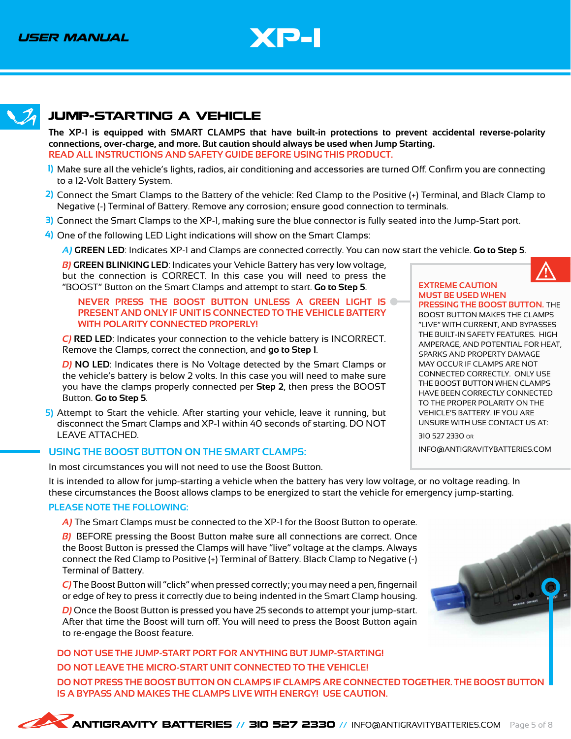

#### <span id="page-8-1"></span>JUMP-STARTING A VEHICLE

<span id="page-8-0"></span>**The XP-1 is equipped with SMART CLAMPS that have built-in protections to prevent accidental reverse-polarity connections, over-charge, and more. But caution should always be used when Jump Starting. READ ALL INSTRUCTIONS AND SAFETY GUIDE BEFORE USING THIS PRODUCT.**

- Make sure all the vehicle's lights, radios, air conditioning and accessories are turned Off. Confirm you are connecting **1)** to a 12-Volt Battery System.
- Connect the Smart Clamps to the Battery of the vehicle: Red Clamp to the Positive (+) Terminal, and Black Clamp to **2)** Negative (-) Terminal of Battery. Remove any corrosion; ensure good connection to terminals.
- Connect the Smart Clamps to the XP-1, making sure the blue connector is fully seated into the Jump-Start port. **3)**
- One of the following LED Light indications will show on the Smart Clamps: **4)**

*A)* **GREEN LED**: Indicates XP-1 and Clamps are connected correctly. You can now start the vehicle. **Go to Step 5**.

*B)* **GREEN BLINKING LED**: Indicates your Vehicle Battery has very low voltage, but the connection is CORRECT. In this case you will need to press the "BOOST" Button on the Smart Clamps and attempt to start. **Go to Step 5**.

#### **NEVER PRESS THE BOOST BUTTON UNLESS A GREEN LIGHT IS PRESENT AND ONLY IF UNIT IS CONNECTED TO THE VEHICLE BATTERY WITH POLARITY CONNECTED PROPERLY!**

*C)* **RED LED**: Indicates your connection to the vehicle battery is INCORRECT. Remove the Clamps, correct the connection, and **go to Step 1**.

*D)* **NO LED**: Indicates there is No Voltage detected by the Smart Clamps or the vehicle's battery is below 2 volts. In this case you will need to make sure you have the clamps properly connected per **Step 2**, then press the BOOST Button. **Go to Step 5**.

5) Attempt to Start the vehicle. After starting your vehicle, leave it running, but disconnect the Smart Clamps and XP-1 within 40 seconds of starting. DO NOT LEAVE ATTACHED.

#### USING THE BOOST BUTTON ON THE SMART CLAMPS: **INFO@ANTIGRAVITYBATTERIES.COM**

In most circumstances you will not need to use the Boost Button.

It is intended to allow for jump-starting a vehicle when the battery has very low voltage, or no voltage reading. In these circumstances the Boost allows clamps to be energized to start the vehicle for emergency jump-starting.

#### **PLEASE NOTE THE FOLLOWING:**

*A)* The Smart Clamps must be connected to the XP-1 for the Boost Button to operate.

*B)* BEFORE pressing the Boost Button make sure all connections are correct. Once the Boost Button is pressed the Clamps will have "live" voltage at the clamps. Always connect the Red Clamp to Positive (+) Terminal of Battery. Black Clamp to Negative (-) Terminal of Battery.

*C)* The Boost Button will "click" when pressed correctly; you may need a pen, fingernail or edge of key to press it correctly due to being indented in the Smart Clamp housing.

*D)* Once the Boost Button is pressed you have 25 seconds to attempt your jump-start. After that time the Boost will turn off. You will need to press the Boost Button again to re-engage the Boost feature.

**DO NOT USE THE JUMP-START PORT FOR ANYTHING BUT JUMP-STARTING! DO NOT LEAVE THE MICRO-START UNIT CONNECTED TO THE VEHICLE! DO NOT PRESS THE BOOST BUTTON ON CLAMPS IF CLAMPS ARE CONNECTED TOGETHER. THE BOOST BUTTON IS A BYPASS AND MAKES THE CLAMPS LIVE WITH ENERGY! USE CAUTION.**



#### **EXTREME CAUTION MUST BE USED WHEN**

**PRESSING THE BOOST BUTTON.** THE BOOST BUTTON MAKES THE CLAMPS "LIVE" WITH CURRENT, AND BYPASSES THE BUILT-IN SAFETY FEATURES. HIGH AMPERAGE, AND POTENTIAL FOR HEAT, SPARKS AND PROPERTY DAMAGE MAY OCCUR IF CLAMPS ARE NOT CONNECTED CORRECTLY. ONLY USE THE BOOST BUTTON WHEN CLAMPS HAVE BEEN CORRECTLY CONNECTED TO THE PROPER POLARITY ON THE VEHICLE'S BATTERY. IF YOU ARE UNSURE WITH USE CONTACT US AT:

310 527 2330 or

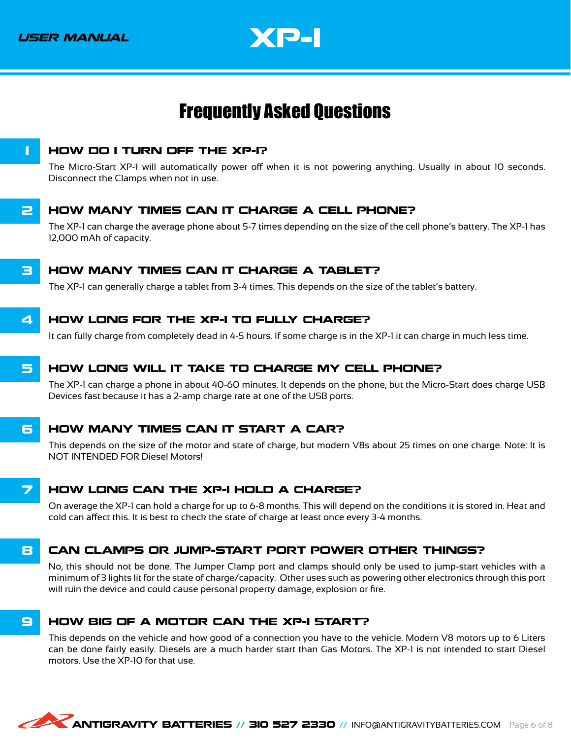

### <span id="page-9-0"></span>Frequently Asked Questions

<span id="page-9-1"></span>

The Micro-Start XP-1 will automatically power off when it is not powering anything. Usually in about 10 seconds. Disconnect the Clamps when not in use.

#### **2 HOW MANY TIMES CAN IT CHARGE A CELL PHONE?**

The XP-1 can charge the average phone about 5-7 times depending on the size of the cell phone's battery. The XP-1 has 12,000 mAh of capacity.

#### **3 HOW MANY TIMES CAN IT CHARGE A TABLET?**

The XP-1 can generally charge a tablet from 3-4 times. This depends on the size of the tablet's battery.

#### 4 HOW LONG FOR THE XP-1 TO FULLY CHARGE?

It can fully charge from completely dead in 4-5 hours. If some charge is in the XP-1 it can charge in much less time.

#### 5 HOW LONG WILL IT TAKE TO CHARGE MY CELL PHONE?

The XP-1 can charge a phone in about 40-60 minutes. It depends on the phone, but the Micro-Start does charge USB Devices fast because it has a 2-amp charge rate at one of the USB ports.

#### **6 HOW MANY TIMES CAN IT START A CAR?**

This depends on the size of the motor and state of charge, but modern V8s about 25 times on one charge. Note: It is NOT INTENDED FOR Diesel Motors!

#### **7 HOW LONG CAN THE XP-I HOLD A CHARGE?**

On average the XP-1 can hold a charge for up to 6-8 months. This will depend on the conditions it is stored in. Heat and cold can affect this. It is best to check the state of charge at least once every 3-4 months.

#### 8 CAN CLAMPS OR JUMP-START PORT POWER OTHER THINGS?

No, this should not be done. The Jumper Clamp port and clamps should only be used to jump-start vehicles with a minimum of 3 lights lit for the state of charge/capacity. Other uses such as powering other electronics through this port will ruin the device and could cause personal property damage, explosion or fire.

#### **B** HOW BIG OF A MOTOR CAN THE XP-I START?

This depends on the vehicle and how good of a connection you have to the vehicle. Modern V8 motors up to 6 Liters can be done fairly easily. Diesels are a much harder start than Gas Motors. The XP-1 is not intended to start Diesel motors. Use the XP-10 for that use.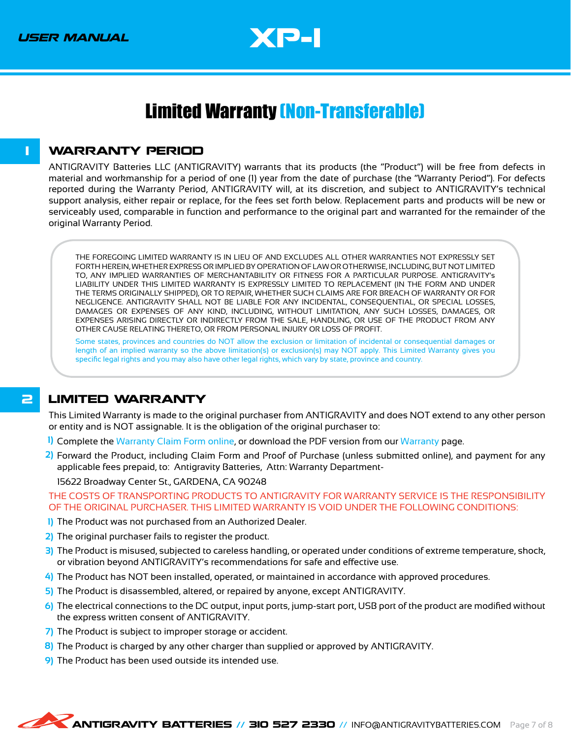

### <span id="page-10-0"></span>Limited Warranty (Non-Transferable)

#### <span id="page-10-1"></span>**1 WARRANTY PERIOD**

ANTIGRAVITY Batteries LLC (ANTIGRAVITY) warrants that its products (the "Product") will be free from defects in material and workmanship for a period of one (1) year from the date of purchase (the "Warranty Period"). For defects reported during the Warranty Period, ANTIGRAVITY will, at its discretion, and subject to ANTIGRAVITY's technical support analysis, either repair or replace, for the fees set forth below. Replacement parts and products will be new or serviceably used, comparable in function and performance to the original part and warranted for the remainder of the original Warranty Period.

THE FOREGOING LIMITED WARRANTY IS IN LIEU OF AND EXCLUDES ALL OTHER WARRANTIES NOT EXPRESSLY SET FORTH HEREIN, WHETHER EXPRESS OR IMPLIED BY OPERATION OF LAW OR OTHERWISE, INCLUDING, BUT NOT LIMITED TO, ANY IMPLIED WARRANTIES OF MERCHANTABILITY OR FITNESS FOR A PARTICULAR PURPOSE. ANTIGRAVITY's LIABILITY UNDER THIS LIMITED WARRANTY IS EXPRESSLY LIMITED TO REPLACEMENT (IN THE FORM AND UNDER THE TERMS ORIGINALLY SHIPPED), OR TO REPAIR, WHETHER SUCH CLAIMS ARE FOR BREACH OF WARRANTY OR FOR NEGLIGENCE. ANTIGRAVITY SHALL NOT BE LIABLE FOR ANY INCIDENTAL, CONSEQUENTIAL, OR SPECIAL LOSSES, DAMAGES OR EXPENSES OF ANY KIND, INCLUDING, WITHOUT LIMITATION, ANY SUCH LOSSES, DAMAGES, OR EXPENSES ARISING DIRECTLY OR INDIRECTLY FROM THE SALE, HANDLING, OR USE OF THE PRODUCT FROM ANY OTHER CAUSE RELATING THERETO, OR FROM PERSONAL INJURY OR LOSS OF PROFIT.

Some states, provinces and countries do NOT allow the exclusion or limitation of incidental or consequential damages or length of an implied warranty so the above limitation(s) or exclusion(s) may NOT apply. This Limited Warranty gives you specific legal rights and you may also have other legal rights, which vary by state, province and country.

#### **2 LIMITED WARRANTY**

This Limited Warranty is made to the original purchaser from ANTIGRAVITY and does NOT extend to any other person or entity and is NOT assignable. It is the obligation of the original purchaser to:

- Complete the [Warranty Claim Form online](https://shop.antigravitybatteries.com/warranty/claim-form/), or download the PDF version from our [Warranty](https://shop.antigravitybatteries.com/warranty/) page. **1)**
- Forward the Product, including Claim Form and Proof of Purchase (unless submitted online), and payment for any **2)** applicable fees prepaid, to: Antigravity Batteries, Attn: Warranty Department-

15622 Broadway Center St., GARDENA, CA 90248

THE COSTS OF TRANSPORTING PRODUCTS TO ANTIGRAVITY FOR WARRANTY SERVICE IS THE RESPONSIBILITY OF THE ORIGINAL PURCHASER. THIS LIMITED WARRANTY IS VOID UNDER THE FOLLOWING CONDITIONS:

- 1) The Product was not purchased from an Authorized Dealer.
- The original purchaser fails to register the product. **2)**
- 3) The Product is misused, subjected to careless handling, or operated under conditions of extreme temperature, shock, or vibration beyond ANTIGRAVITY's recommendations for safe and effective use.
- The Product has NOT been installed, operated, or maintained in accordance with approved procedures. **4)**
- 5) The Product is disassembled, altered, or repaired by anyone, except ANTIGRAVITY.
- The electrical connections to the DC output, input ports, jump-start port, USB port of the product are modified without **6)** the express written consent of ANTIGRAVITY.
- 7) The Product is subject to improper storage or accident.
- 8) The Product is charged by any other charger than supplied or approved by ANTIGRAVITY.
- The Product has been used outside its intended use. **9)**